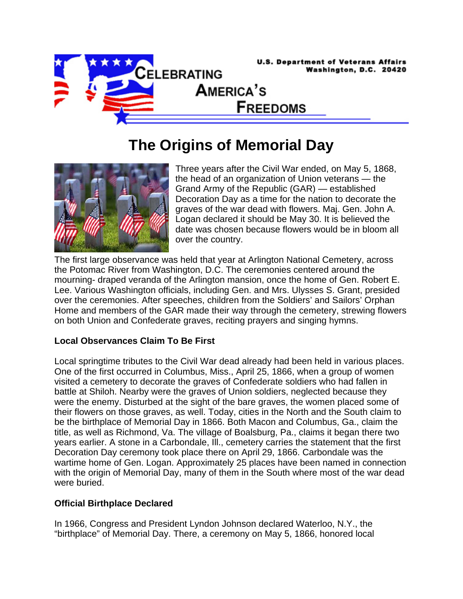

## **The Origins of Memorial Day**



Three years after the Civil War ended, on May 5, 1868, the head of an organization of Union veterans — the Grand Army of the Republic (GAR) — established Decoration Day as a time for the nation to decorate the graves of the war dead with flowers. Maj. Gen. John A. Logan declared it should be May 30. It is believed the date was chosen because flowers would be in bloom all over the country.

The first large observance was held that year at Arlington National Cemetery, across the Potomac River from Washington, D.C. The ceremonies centered around the mourning- draped veranda of the Arlington mansion, once the home of Gen. Robert E. Lee. Various Washington officials, including Gen. and Mrs. Ulysses S. Grant, presided over the ceremonies. After speeches, children from the Soldiers' and Sailors' Orphan Home and members of the GAR made their way through the cemetery, strewing flowers on both Union and Confederate graves, reciting prayers and singing hymns.

## **Local Observances Claim To Be First**

Local springtime tributes to the Civil War dead already had been held in various places. One of the first occurred in Columbus, Miss., April 25, 1866, when a group of women visited a cemetery to decorate the graves of Confederate soldiers who had fallen in battle at Shiloh. Nearby were the graves of Union soldiers, neglected because they were the enemy. Disturbed at the sight of the bare graves, the women placed some of their flowers on those graves, as well. Today, cities in the North and the South claim to be the birthplace of Memorial Day in 1866. Both Macon and Columbus, Ga., claim the title, as well as Richmond, Va. The village of Boalsburg, Pa., claims it began there two years earlier. A stone in a Carbondale, Ill., cemetery carries the statement that the first Decoration Day ceremony took place there on April 29, 1866. Carbondale was the wartime home of Gen. Logan. Approximately 25 places have been named in connection with the origin of Memorial Day, many of them in the South where most of the war dead were buried.

## **Official Birthplace Declared**

In 1966, Congress and President Lyndon Johnson declared Waterloo, N.Y., the "birthplace" of Memorial Day. There, a ceremony on May 5, 1866, honored local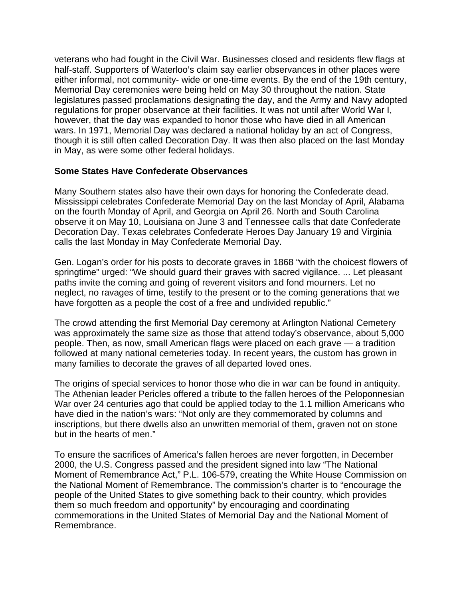veterans who had fought in the Civil War. Businesses closed and residents flew flags at half-staff. Supporters of Waterloo's claim say earlier observances in other places were either informal, not community- wide or one-time events. By the end of the 19th century, Memorial Day ceremonies were being held on May 30 throughout the nation. State legislatures passed proclamations designating the day, and the Army and Navy adopted regulations for proper observance at their facilities. It was not until after World War I, however, that the day was expanded to honor those who have died in all American wars. In 1971, Memorial Day was declared a national holiday by an act of Congress, though it is still often called Decoration Day. It was then also placed on the last Monday in May, as were some other federal holidays.

## **Some States Have Confederate Observances**

Many Southern states also have their own days for honoring the Confederate dead. Mississippi celebrates Confederate Memorial Day on the last Monday of April, Alabama on the fourth Monday of April, and Georgia on April 26. North and South Carolina observe it on May 10, Louisiana on June 3 and Tennessee calls that date Confederate Decoration Day. Texas celebrates Confederate Heroes Day January 19 and Virginia calls the last Monday in May Confederate Memorial Day.

Gen. Logan's order for his posts to decorate graves in 1868 "with the choicest flowers of springtime" urged: "We should guard their graves with sacred vigilance. ... Let pleasant paths invite the coming and going of reverent visitors and fond mourners. Let no neglect, no ravages of time, testify to the present or to the coming generations that we have forgotten as a people the cost of a free and undivided republic."

The crowd attending the first Memorial Day ceremony at Arlington National Cemetery was approximately the same size as those that attend today's observance, about 5,000 people. Then, as now, small American flags were placed on each grave — a tradition followed at many national cemeteries today. In recent years, the custom has grown in many families to decorate the graves of all departed loved ones.

The origins of special services to honor those who die in war can be found in antiquity. The Athenian leader Pericles offered a tribute to the fallen heroes of the Peloponnesian War over 24 centuries ago that could be applied today to the 1.1 million Americans who have died in the nation's wars: "Not only are they commemorated by columns and inscriptions, but there dwells also an unwritten memorial of them, graven not on stone but in the hearts of men."

To ensure the sacrifices of America's fallen heroes are never forgotten, in December 2000, the U.S. Congress passed and the president signed into law "The National Moment of Remembrance Act," P.L. 106-579, creating the White House Commission on the National Moment of Remembrance. The commission's charter is to "encourage the people of the United States to give something back to their country, which provides them so much freedom and opportunity" by encouraging and coordinating commemorations in the United States of Memorial Day and the National Moment of Remembrance.